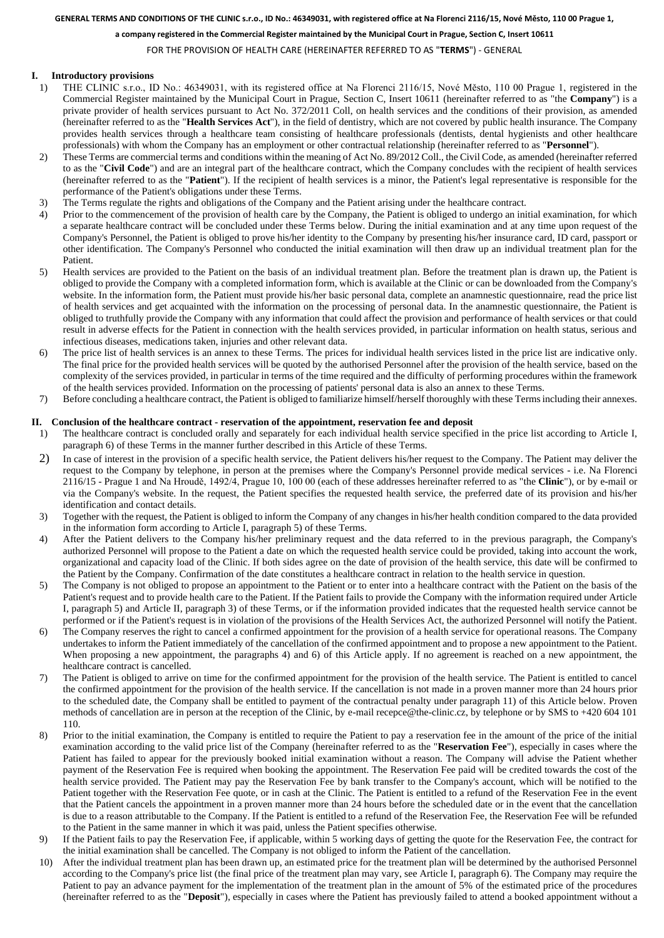#### **GENERAL TERMS AND CONDITIONS OF THE CLINIC s.r.o., ID No.: 46349031, with registered office at Na Florenci 2116/15, Nové Město, 110 00 Prague 1,**

**a company registered in the Commercial Register maintained by the Municipal Court in Prague, Section C, Insert 10611** 

FOR THE PROVISION OF HEALTH CARE (HEREINAFTER REFERRED TO AS "**TERMS**") - GENERAL

## **I. Introductory provisions**

- 1) THE CLINIC s.r.o., ID No.: 46349031, with its registered office at Na Florenci 2116/15, Nové Město, 110 00 Prague 1, registered in the Commercial Register maintained by the Municipal Court in Prague, Section C, Insert 10611 (hereinafter referred to as "the **Company**") is a private provider of health services pursuant to Act No. 372/2011 Coll, on health services and the conditions of their provision, as amended (hereinafter referred to as the "**Health Services Act**"), in the field of dentistry, which are not covered by public health insurance. The Company provides health services through a healthcare team consisting of healthcare professionals (dentists, dental hygienists and other healthcare professionals) with whom the Company has an employment or other contractual relationship (hereinafter referred to as "**Personnel**").
- 2) These Terms are commercial terms and conditions within the meaning of Act No. 89/2012 Coll., the Civil Code, as amended (hereinafter referred to as the "**Civil Code**") and are an integral part of the healthcare contract, which the Company concludes with the recipient of health services (hereinafter referred to as the "**Patient**"). If the recipient of health services is a minor, the Patient's legal representative is responsible for the performance of the Patient's obligations under these Terms.
- 3) The Terms regulate the rights and obligations of the Company and the Patient arising under the healthcare contract.
- 4) Prior to the commencement of the provision of health care by the Company, the Patient is obliged to undergo an initial examination, for which a separate healthcare contract will be concluded under these Terms below. During the initial examination and at any time upon request of the Company's Personnel, the Patient is obliged to prove his/her identity to the Company by presenting his/her insurance card, ID card, passport or other identification. The Company's Personnel who conducted the initial examination will then draw up an individual treatment plan for the Patient.
- <span id="page-0-1"></span>5) Health services are provided to the Patient on the basis of an individual treatment plan. Before the treatment plan is drawn up, the Patient is obliged to provide the Company with a completed information form, which is available at the Clinic or can be downloaded from the Company's website. In the information form, the Patient must provide his/her basic personal data, complete an anamnestic questionnaire, read the price list of health services and get acquainted with the information on the processing of personal data. In the anamnestic questionnaire, the Patient is obliged to truthfully provide the Company with any information that could affect the provision and performance of health services or that could result in adverse effects for the Patient in connection with the health services provided, in particular information on health status, serious and infectious diseases, medications taken, injuries and other relevant data.
- <span id="page-0-0"></span>6) The price list of health services is an annex to these Terms. The prices for individual health services listed in the price list are indicative only. The final price for the provided health services will be quoted by the authorised Personnel after the provision of the health service, based on the complexity of the services provided, in particular in terms of the time required and the difficulty of performing procedures within the framework of the health services provided. Information on the processing of patients' personal data is also an annex to these Terms.
- 7) Before concluding a healthcare contract, the Patient is obliged to familiarize himself/herself thoroughly with these Termsincluding their annexes.

### **II. Conclusion of the healthcare contract - reservation of the appointment, reservation fee and deposit**

- 1) The healthcare contract is concluded orally and separately for each individual health service specified in the price list according to Article I, paragraph [6\)](#page-0-0) of these Terms in the manner further described in this Article of these Terms.
- 2) In case of interest in the provision of a specific health service, the Patient delivers his/her request to the Company. The Patient may deliver the request to the Company by telephone, in person at the premises where the Company's Personnel provide medical services - i.e. Na Florenci 2116/15 - Prague 1 and Na Hroudě, 1492/4, Prague 10, 100 00 (each of these addresses hereinafter referred to as "the **Clinic**"), or by e-mail or via the Company's website. In the request, the Patient specifies the requested health service, the preferred date of its provision and his/her identification and contact details.
- <span id="page-0-2"></span>3) Together with the request, the Patient is obliged to inform the Company of any changes in his/her health condition compared to the data provided in the information form according to Article I, paragrap[h 5\)](#page-0-1) of these Terms.
- <span id="page-0-3"></span>4) After the Patient delivers to the Company his/her preliminary request and the data referred to in the previous paragraph, the Company's authorized Personnel will propose to the Patient a date on which the requested health service could be provided, taking into account the work, organizational and capacity load of the Clinic. If both sides agree on the date of provision of the health service, this date will be confirmed to the Patient by the Company. Confirmation of the date constitutes a healthcare contract in relation to the health service in question.
- 5) The Company is not obliged to propose an appointment to the Patient or to enter into a healthcare contract with the Patient on the basis of the Patient's request and to provide health care to the Patient. If the Patient fails to provide the Company with the information required under Article I, paragraph [5\)](#page-0-1) and Article II, paragrap[h 3\)](#page-0-2) of these Terms, or if the information provided indicates that the requested health service cannot be performed or if the Patient's request is in violation of the provisions of the Health Services Act, the authorized Personnel will notify the Patient.
- <span id="page-0-4"></span>6) The Company reserves the right to cancel a confirmed appointment for the provision of a health service for operational reasons. The Company undertakes to inform the Patient immediately of the cancellation of the confirmed appointment and to propose a new appointment to the Patient. When proposing a new appointment, the paragraphs [4\)](#page-0-3) and [6\)](#page-0-4) of this Article apply. If no agreement is reached on a new appointment, the healthcare contract is cancelled.
- 7) The Patient is obliged to arrive on time for the confirmed appointment for the provision of the health service. The Patient is entitled to cancel the confirmed appointment for the provision of the health service. If the cancellation is not made in a proven manner more than 24 hours prior to the scheduled date, the Company shall be entitled to payment of the contractual penalty under paragraph [11\)](#page-1-0) of this Article below. Proven methods of cancellation are in person at the reception of the Clinic, by e-mail recepce@the-clinic.cz, by telephone or by SMS to +420 604 101 110.
- <span id="page-0-5"></span>8) Prior to the initial examination, the Company is entitled to require the Patient to pay a reservation fee in the amount of the price of the initial examination according to the valid price list of the Company (hereinafter referred to as the "**Reservation Fee**"), especially in cases where the Patient has failed to appear for the previously booked initial examination without a reason. The Company will advise the Patient whether payment of the Reservation Fee is required when booking the appointment. The Reservation Fee paid will be credited towards the cost of the health service provided. The Patient may pay the Reservation Fee by bank transfer to the Company's account, which will be notified to the Patient together with the Reservation Fee quote, or in cash at the Clinic. The Patient is entitled to a refund of the Reservation Fee in the event that the Patient cancels the appointment in a proven manner more than 24 hours before the scheduled date or in the event that the cancellation is due to a reason attributable to the Company. If the Patient is entitled to a refund of the Reservation Fee, the Reservation Fee will be refunded to the Patient in the same manner in which it was paid, unless the Patient specifies otherwise.
- <span id="page-0-6"></span>9) If the Patient fails to pay the Reservation Fee, if applicable, within 5 working days of getting the quote for the Reservation Fee, the contract for the initial examination shall be cancelled. The Company is not obliged to inform the Patient of the cancellation.
- 10) After the individual treatment plan has been drawn up, an estimated price for the treatment plan will be determined by the authorised Personnel according to the Company's price list (the final price of the treatment plan may vary, see Article I, paragrap[h 6\).](#page-0-0) The Company may require the Patient to pay an advance payment for the implementation of the treatment plan in the amount of 5% of the estimated price of the procedures (hereinafter referred to as the "**Deposit**"), especially in cases where the Patient has previously failed to attend a booked appointment without a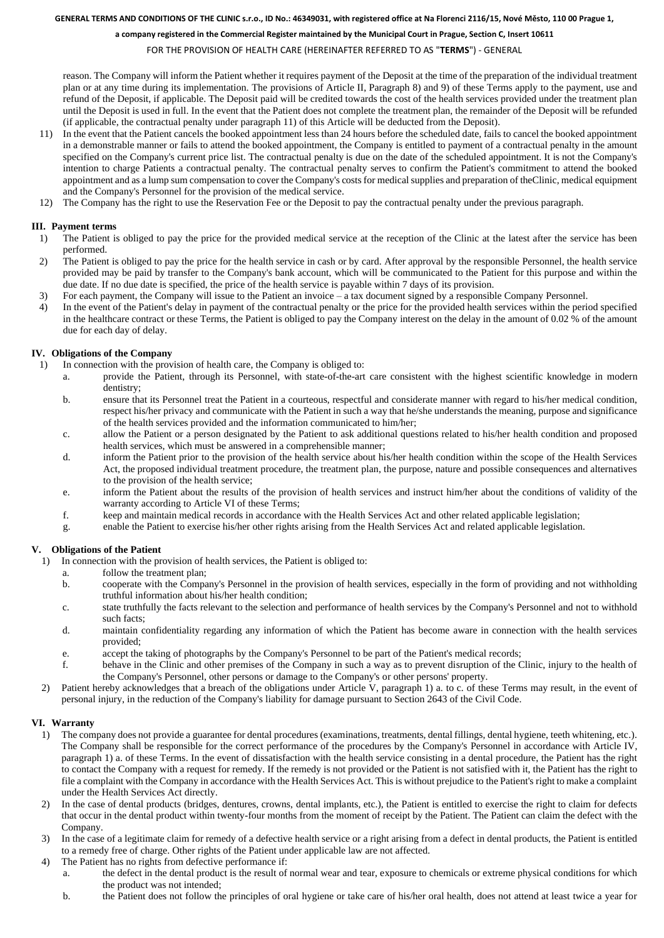#### **GENERAL TERMS AND CONDITIONS OF THE CLINIC s.r.o., ID No.: 46349031, with registered office at Na Florenci 2116/15, Nové Město, 110 00 Prague 1,**

**a company registered in the Commercial Register maintained by the Municipal Court in Prague, Section C, Insert 10611** 

FOR THE PROVISION OF HEALTH CARE (HEREINAFTER REFERRED TO AS "**TERMS**") - GENERAL

reason. The Company will inform the Patient whether it requires payment of the Deposit at the time of the preparation of the individual treatment plan or at any time during its implementation. The provisions of Article II, Paragraph [8\)](#page-0-5) and [9\)](#page-0-6) of these Terms apply to the payment, use and refund of the Deposit, if applicable. The Deposit paid will be credited towards the cost of the health services provided under the treatment plan until the Deposit is used in full. In the event that the Patient does not complete the treatment plan, the remainder of the Deposit will be refunded (if applicable, the contractual penalty under paragraph [11\)](#page-1-0) of this Article will be deducted from the Deposit).

- <span id="page-1-0"></span>11) In the event that the Patient cancels the booked appointment less than 24 hours before the scheduled date, fails to cancel the booked appointment in a demonstrable manner or fails to attend the booked appointment, the Company is entitled to payment of a contractual penalty in the amount specified on the Company's current price list. The contractual penalty is due on the date of the scheduled appointment. It is not the Company's intention to charge Patients a contractual penalty. The contractual penalty serves to confirm the Patient's commitment to attend the booked appointment and as a lump sum compensation to cover the Company's costs for medical supplies and preparation of theClinic, medical equipment and the Company's Personnel for the provision of the medical service.
- 12) The Company has the right to use the Reservation Fee or the Deposit to pay the contractual penalty under the previous paragraph.

# **III. Payment terms**

- 1) The Patient is obliged to pay the price for the provided medical service at the reception of the Clinic at the latest after the service has been performed.
- 2) The Patient is obliged to pay the price for the health service in cash or by card. After approval by the responsible Personnel, the health service provided may be paid by transfer to the Company's bank account, which will be communicated to the Patient for this purpose and within the due date. If no due date is specified, the price of the health service is payable within 7 days of its provision.
- 3) For each payment, the Company will issue to the Patient an invoice a tax document signed by a responsible Company Personnel.
- 4) In the event of the Patient's delay in payment of the contractual penalty or the price for the provided health services within the period specified in the healthcare contract or these Terms, the Patient is obliged to pay the Company interest on the delay in the amount of 0.02 % of the amount due for each day of delay.

## **IV. Obligations of the Company**

- <span id="page-1-5"></span><span id="page-1-4"></span>1) In connection with the provision of health care, the Company is obliged to:
	- a. provide the Patient, through its Personnel, with state-of-the-art care consistent with the highest scientific knowledge in modern dentistry;
	- b. ensure that its Personnel treat the Patient in a courteous, respectful and considerate manner with regard to his/her medical condition, respect his/her privacy and communicate with the Patient in such a way that he/she understands the meaning, purpose and significance of the health services provided and the information communicated to him/her;
	- c. allow the Patient or a person designated by the Patient to ask additional questions related to his/her health condition and proposed health services, which must be answered in a comprehensible manner;
	- d. inform the Patient prior to the provision of the health service about his/her health condition within the scope of the Health Services Act, the proposed individual treatment procedure, the treatment plan, the purpose, nature and possible consequences and alternatives to the provision of the health service;
	- e. inform the Patient about the results of the provision of health services and instruct him/her about the conditions of validity of the warranty according to Article VI of these Terms;
	- f. keep and maintain medical records in accordance with the Health Services Act and other related applicable legislation;
	- g. enable the Patient to exercise his/her other rights arising from the Health Services Act and related applicable legislation.

## <span id="page-1-1"></span>**V. Obligations of the Patient**

<span id="page-1-2"></span>1) In connection with the provision of health services, the Patient is obliged to:

- a. follow the treatment plan;
- b. cooperate with the Company's Personnel in the provision of health services, especially in the form of providing and not withholding truthful information about his/her health condition;
- <span id="page-1-3"></span>c. state truthfully the facts relevant to the selection and performance of health services by the Company's Personnel and not to withhold such facts;
- d. maintain confidentiality regarding any information of which the Patient has become aware in connection with the health services provided;
- e. accept the taking of photographs by the Company's Personnel to be part of the Patient's medical records;
- <span id="page-1-6"></span>f. behave in the Clinic and other premises of the Company in such a way as to prevent disruption of the Clinic, injury to the health of the Company's Personnel, other persons or damage to the Company's or other persons' property.
- 2) Patient hereby acknowledges that a breach of the obligations under Article V, paragrap[h 1\)](#page-1-1) [a.](#page-1-2) t[o c.](#page-1-3) of these Terms may result, in the event of personal injury, in the reduction of the Company's liability for damage pursuant to Section 2643 of the Civil Code.

# **VI. Warranty**

- 1) The company does not provide a guarantee for dental procedures (examinations, treatments, dental fillings, dental hygiene, teeth whitening, etc.). The Company shall be responsible for the correct performance of the procedures by the Company's Personnel in accordance with Article IV, paragraph [1\)](#page-1-4) [a.](#page-1-5) of these Terms. In the event of dissatisfaction with the health service consisting in a dental procedure, the Patient has the right to contact the Company with a request for remedy. If the remedy is not provided or the Patient is not satisfied with it, the Patient has the right to file a complaint with the Company in accordance with the Health Services Act. This is without prejudice to the Patient's right to make a complaint under the Health Services Act directly.
- 2) In the case of dental products (bridges, dentures, crowns, dental implants, etc.), the Patient is entitled to exercise the right to claim for defects that occur in the dental product within twenty-four months from the moment of receipt by the Patient. The Patient can claim the defect with the Company.
- 3) In the case of a legitimate claim for remedy of a defective health service or a right arising from a defect in dental products, the Patient is entitled to a remedy free of charge. Other rights of the Patient under applicable law are not affected.
- 4) The Patient has no rights from defective performance if:
	- a. the defect in the dental product is the result of normal wear and tear, exposure to chemicals or extreme physical conditions for which the product was not intended;
	- b. the Patient does not follow the principles of oral hygiene or take care of his/her oral health, does not attend at least twice a year for